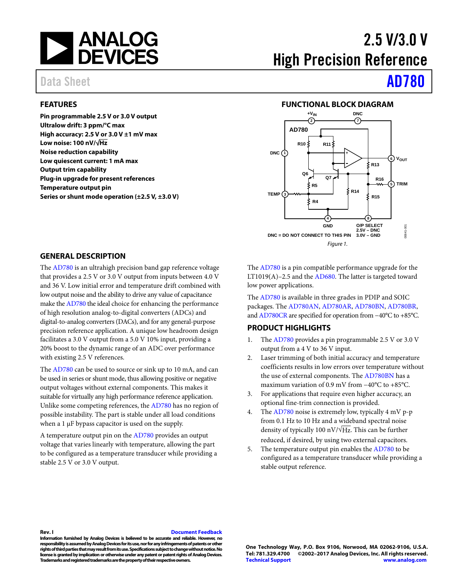

#### <span id="page-0-0"></span>**FEATURES**

**Pin programmable 2.5 V or 3.0 V output Ultralow drift: 3 ppm/°C max High accuracy: 2.5 V or 3.0 V ±1 mV max Low noise: 100 nV/√Hz Noise reduction capability Low quiescent current: 1 mA max Output trim capability Plug-in upgrade for present references Temperature output pin Series or shunt mode operation (±2.5 V, ±3.0 V)** 

# 2.5 V/3.0 V High Precision Reference

# Data Sheet **[AD780](http://www.analog.com/ad780?doc=ad780.pdf)**

#### **FUNCTIONAL BLOCK DIAGRAM**

<span id="page-0-1"></span>

#### <span id="page-0-2"></span>**GENERAL DESCRIPTION**

The [AD780 i](http://www.analog.com/ad780?doc=ad780.pdf)s an ultrahigh precision band gap reference voltage that provides a 2.5 V or 3.0 V output from inputs between 4.0 V and 36 V. Low initial error and temperature drift combined with low output noise and the ability to drive any value of capacitance make th[e AD780 t](http://www.analog.com/ad780?doc=ad780.pdf)he ideal choice for enhancing the performance of high resolution analog-to-digital converters (ADCs) and digital-to-analog converters (DACs), and for any general-purpose precision reference application. A unique low headroom design facilitates a 3.0 V output from a 5.0 V 10% input, providing a 20% boost to the dynamic range of an ADC over performance with existing 2.5 V references.

The [AD780 c](http://www.analog.com/ad780?doc=ad780.pdf)an be used to source or sink up to 10 mA, and can be used in series or shunt mode, thus allowing positive or negative output voltages without external components. This makes it suitable for virtually any high performance reference application. Unlike some competing references, th[e AD780 h](http://www.analog.com/ad780?doc=ad780.pdf)as no region of possible instability. The part is stable under all load conditions when a 1 μF bypass capacitor is used on the supply.

A temperature output pin on th[e AD780 p](http://www.analog.com/ad780?doc=ad780.pdf)rovides an output voltage that varies linearly with temperature, allowing the part to be configured as a temperature transducer while providing a stable 2.5 V or 3.0 V output.

The [AD780 i](http://www.analog.com/ad780?doc=ad780.pdf)s a pin compatible performance upgrade for the LT1019(A)–2.5 and th[e AD680.](http://www.analog.com/AD680?doc=ad780.pdf) The latter is targeted toward low power applications.

The [AD780 i](http://www.analog.com/ad780?doc=ad780.pdf)s available in three grades in PDIP and SOIC packages. Th[e AD780AN, AD780AR, AD780BN, AD780BR,](http://www.analog.com/ad780?doc=ad780.pdf)  an[d AD780CR a](http://www.analog.com/ad780?doc=ad780.pdf)re specified for operation from −40°C to +85°C.

#### <span id="page-0-3"></span>**PRODUCT HIGHLIGHTS**

- 1. The [AD780 p](http://www.analog.com/ad780?doc=ad780.pdf)rovides a pin programmable 2.5 V or 3.0 V output from a 4 V to 36 V input.
- 2. Laser trimming of both initial accuracy and temperature coefficients results in low errors over temperature without the use of external components. Th[e AD780BN h](http://www.analog.com/ad780?doc=ad780.pdf)as a maximum variation of 0.9 mV from −40°C to +85°C.
- 3. For applications that require even higher accuracy, an optional fine-trim connection is provided.
- 4. The [AD780 n](http://www.analog.com/ad780?doc=ad780.pdf)oise is extremely low, typically 4 mV p-p from 0.1 Hz to 10 Hz and a wideband spectral noise density of typically 100 nV/ $\sqrt{Hz}$ . This can be further reduced, if desired, by using two external capacitors.
- 5. The temperature output pin enables the [AD780](http://www.analog.com/ad780?doc=ad780.pdf) to be configured as a temperature transducer while providing a stable output reference.

#### **Rev. I [Document Feedback](https://form.analog.com/Form_Pages/feedback/documentfeedback.aspx?doc=AD780.pdf&product=AD780&rev=I)**

**Information furnished by Analog Devices is believed to be accurate and reliable. However, no responsibility is assumed by Analog Devices for its use, nor for any infringements of patents or other rights of third parties that may result from its use. Specifications subject to change without notice. No license is granted by implication or otherwise under any patent or patent rights of Analog Devices. Trademarks and registered trademarks are the property of their respective owners.**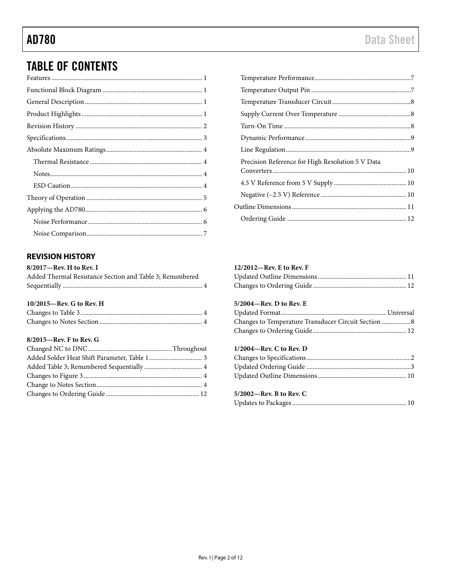## **TABLE OF CONTENTS**

#### <span id="page-1-0"></span>**REVISION HISTORY**

| $8/2017$ —Rev. H to Rev. I |                                                 |  |
|----------------------------|-------------------------------------------------|--|
|                            | Added Thermal Resistance Section and Table 3: R |  |

| Added Thermal Resistance Section and Table 3: Renumbered |  |
|----------------------------------------------------------|--|
|                                                          |  |

#### 10/2015-Rev. G to Rev. H

#### 8/2015-Rev. F to Rev. G

| Precision Reference for High Resolution 5 V Data |  |
|--------------------------------------------------|--|
|                                                  |  |
|                                                  |  |
|                                                  |  |
|                                                  |  |
|                                                  |  |

#### 12/2012-Rev. E to Rev. F

#### 5/2004-Rev. D to Rev. E

| Changes to Temperature Transducer Circuit Section 8 |  |
|-----------------------------------------------------|--|
|                                                     |  |

#### $1/2004$ —Rev. C to Rev. D

### 5/2002-Rev. B to Rev. C

|--|--|--|--|--|--|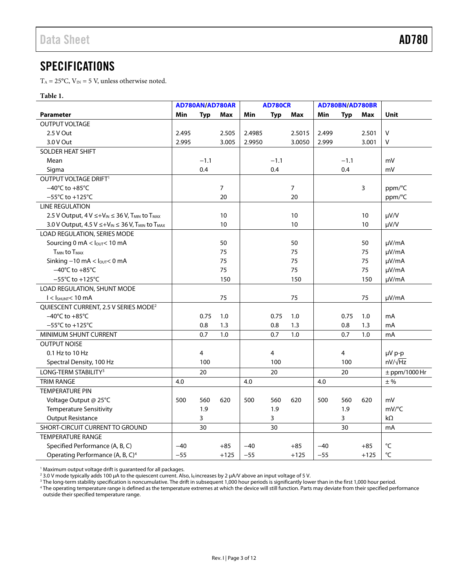### <span id="page-2-0"></span>SPECIFICATIONS

 $T_A = 25$ °C,  $V_{IN} = 5$  V, unless otherwise noted.

#### **Table 1.**

|                                                                                    | AD780AN/AD780AR |                | <b>AD780CR</b> |        |            | AD780BN/AD780BR |       |        |        |                   |
|------------------------------------------------------------------------------------|-----------------|----------------|----------------|--------|------------|-----------------|-------|--------|--------|-------------------|
| <b>Parameter</b>                                                                   | Min             | Typ            | Max            | Min    | <b>Typ</b> | Max             | Min   | Typ    | Max    | <b>Unit</b>       |
| <b>OUTPUT VOLTAGE</b>                                                              |                 |                |                |        |            |                 |       |        |        |                   |
| 2.5 V Out                                                                          | 2.495           |                | 2.505          | 2.4985 |            | 2.5015          | 2.499 |        | 2.501  | $\mathsf{V}$      |
| 3.0 V Out                                                                          | 2.995           |                | 3.005          | 2.9950 |            | 3.0050          | 2.999 |        | 3.001  | V                 |
| SOLDER HEAT SHIFT                                                                  |                 |                |                |        |            |                 |       |        |        |                   |
| Mean                                                                               |                 | $-1.1$         |                |        | $-1.1$     |                 |       | $-1.1$ |        | mV                |
| Sigma                                                                              |                 | 0.4            |                |        | 0.4        |                 |       | 0.4    |        | mV                |
| OUTPUT VOLTAGE DRIFT <sup>1</sup>                                                  |                 |                |                |        |            |                 |       |        |        |                   |
| $-40^{\circ}$ C to $+85^{\circ}$ C                                                 |                 |                | 7              |        |            | $\overline{7}$  |       |        | 3      | ppm/°C            |
| $-55^{\circ}$ C to $+125^{\circ}$ C                                                |                 |                | 20             |        |            | 20              |       |        |        | ppm/°C            |
| <b>LINE REGULATION</b>                                                             |                 |                |                |        |            |                 |       |        |        |                   |
| 2.5 V Output, $4 V \leq +V_{IN} \leq 36 V$ , T <sub>MIN</sub> to T <sub>MAX</sub>  |                 |                | 10             |        |            | 10              |       |        | 10     | $\mu V/V$         |
| 3.0 V Output, 4.5 V ≤+V <sub>IN</sub> ≤ 36 V, T <sub>MIN</sub> to T <sub>MAX</sub> |                 |                | 10             |        |            | 10              |       |        | 10     | $\mu V/V$         |
| LOAD REGULATION, SERIES MODE                                                       |                 |                |                |        |            |                 |       |        |        |                   |
| Sourcing 0 mA < lout< 10 mA                                                        |                 |                | 50             |        |            | 50              |       |        | 50     | µV/mA             |
| <b>TMIN to TMAX</b>                                                                |                 |                | 75             |        |            | 75              |       |        | 75     | µV/mA             |
| Sinking $-10$ mA $<$ $l_{\text{OUT}}$ $<$ 0 mA                                     |                 |                | 75             |        |            | 75              |       |        | 75     | µV/mA             |
| $-40^{\circ}$ C to $+85^{\circ}$ C                                                 |                 |                | 75             |        |            | 75              |       |        | 75     | µV/mA             |
| $-55^{\circ}$ C to +125 $^{\circ}$ C                                               |                 |                | 150            |        |            | 150             |       |        | 150    | µV/mA             |
| LOAD REGULATION, SHUNT MODE                                                        |                 |                |                |        |            |                 |       |        |        |                   |
| $I < ISHUNT < 10$ mA                                                               |                 |                | 75             |        |            | 75              |       |        | 75     | µV/mA             |
| QUIESCENT CURRENT, 2.5 V SERIES MODE <sup>2</sup>                                  |                 |                |                |        |            |                 |       |        |        |                   |
| $-40^{\circ}$ C to $+85^{\circ}$ C                                                 |                 | 0.75           | 1.0            |        | 0.75       | 1.0             |       | 0.75   | $1.0$  | mA                |
| $-55^{\circ}$ C to +125 $^{\circ}$ C                                               |                 | 0.8            | 1.3            |        | 0.8        | 1.3             |       | 0.8    | 1.3    | mA                |
| MINIMUM SHUNT CURRENT                                                              |                 | 0.7            | 1.0            |        | 0.7        | 1.0             |       | 0.7    | 1.0    | mA                |
| <b>OUTPUT NOISE</b>                                                                |                 |                |                |        |            |                 |       |        |        |                   |
| 0.1 Hz to 10 Hz                                                                    |                 | $\overline{a}$ |                |        | 4          |                 |       | 4      |        | µV p-p            |
| Spectral Density, 100 Hz                                                           |                 | 100            |                |        | 100        |                 |       | 100    |        | $nV/\sqrt{Hz}$    |
| LONG-TERM STABILITY <sup>3</sup>                                                   |                 | 20             |                |        | 20         |                 |       | 20     |        | $±$ ppm/1000 Hr   |
| <b>TRIM RANGE</b>                                                                  | 4.0             |                |                | 4.0    |            |                 | 4.0   |        |        | $±$ %             |
| <b>TEMPERATURE PIN</b>                                                             |                 |                |                |        |            |                 |       |        |        |                   |
| Voltage Output @ 25°C                                                              | 500             | 560            | 620            | 500    | 560        | 620             | 500   | 560    | 620    | mV                |
| <b>Temperature Sensitivity</b>                                                     |                 | 1.9            |                |        | 1.9        |                 |       | 1.9    |        | mV/°C             |
| <b>Output Resistance</b>                                                           |                 | 3              |                |        | 3          |                 |       | 3      |        | $k\Omega$         |
| SHORT-CIRCUIT CURRENT TO GROUND                                                    |                 | 30             |                |        | 30         |                 |       | 30     |        | mA                |
| <b>TEMPERATURE RANGE</b>                                                           |                 |                |                |        |            |                 |       |        |        |                   |
| Specified Performance (A, B, C)                                                    | $-40$           |                | $+85$          | $-40$  |            | $+85$           | $-40$ |        | $+85$  | $^{\circ}{\sf C}$ |
| Operating Performance (A, B, C) <sup>4</sup>                                       | $-55$           |                | $+125$         | $-55$  |            | $+125$          | $-55$ |        | $+125$ | $^{\circ}{\sf C}$ |

<sup>1</sup> Maximum output voltage drift is guaranteed for all packages.<br><sup>2</sup> 3.0 V mode typically adds 100 uA to the quiescent current. Als

<sup>2</sup> 3.0 V mode typically adds 100 μA to the quiescent current. Also, I<sub>q</sub> increases by 2 μA/V above an input voltage of 5 V.<br><sup>3</sup> The long-term stability specification is noncumulative. The drift in subsequent 1,000 hour p

<sup>3</sup> The long-term stability specification is noncumulative. The drift in subsequent 1,000 hour periods is significantly lower than in the first 1,000 hour period.<br><sup>4</sup> The operating temperature range is defined as the tempe outside their specified temperature range.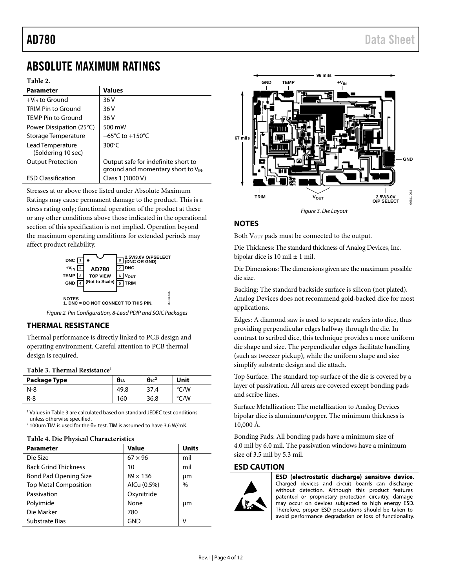## <span id="page-3-0"></span>ABSOLUTE MAXIMUM RATINGS

#### **Table 2.**

| <b>Parameter</b>                       | <b>Values</b>                                                                   |
|----------------------------------------|---------------------------------------------------------------------------------|
| $+V_{IN}$ to Ground                    | 36 V                                                                            |
| TRIM Pin to Ground                     | 36 V                                                                            |
| <b>TEMP Pin to Ground</b>              | 36 V                                                                            |
| Power Dissipation (25 <sup>o</sup> C)  | 500 mW                                                                          |
| Storage Temperature                    | $-65^{\circ}$ C to +150 $^{\circ}$ C                                            |
| Lead Temperature<br>(Soldering 10 sec) | $300^{\circ}$ C                                                                 |
| <b>Output Protection</b>               | Output safe for indefinite short to<br>ground and momentary short to $V_{IN}$ . |
| <b>ESD Classification</b>              | Class 1 (1000 V)                                                                |

Stresses at or above those listed under Absolute Maximum Ratings may cause permanent damage to the product. This is a stress rating only; functional operation of the product at these or any other conditions above those indicated in the operational section of this specification is not implied. Operation beyond the maximum operating conditions for extended periods may affect product reliability.



*Figure 2. Pin Configuration, 8-Lead PDIP and SOIC Packages*

#### <span id="page-3-1"></span>**THERMAL RESISTANCE**

Thermal performance is directly linked to PCB design and operating environment. Careful attention to PCB thermal design is required.

#### <span id="page-3-4"></span>**Table 3. Thermal Resistance1**

| Package Type | $\theta_{JA}$ | $\theta$ <sup>2</sup> | Unit         |
|--------------|---------------|-----------------------|--------------|
| $N-8$        | 49.8          | 37.4                  | /W<br>$\sim$ |
| R-8          | 160           | 36.8                  | /W           |

<sup>1</sup> Values i[n Table 3](#page-3-4) are calculated based on standard JEDEC test conditions unless otherwise specified.

<sup>2</sup> 100um TIM is used for the θ<sub>JC</sub> test. TIM is assumed to have 3.6 W/mK.

#### **Table 4. Die Physical Characteristics**

| <b>Parameter</b>             | Value           | <b>Units</b>  |
|------------------------------|-----------------|---------------|
| Die Size                     | $67 \times 96$  | mil           |
| <b>Back Grind Thickness</b>  | 10              | mil           |
| <b>Bond Pad Opening Size</b> | $89 \times 136$ | μm            |
| <b>Top Metal Composition</b> | AlCu (0.5%)     | $\frac{0}{0}$ |
| Passivation                  | Oxynitride      |               |
| Polyimide                    | None            | μm            |
| Die Marker                   | 780             |               |
| Substrate Bias               | GND             |               |



Both V<sub>OUT</sub> pads must be connected to the output.

<span id="page-3-2"></span>**NOTES**

Die Thickness: The standard thickness of Analog Devices, Inc. bipolar dice is 10 mil  $\pm$  1 mil.

Die Dimensions: The dimensions given are the maximum possible die size.

Backing: The standard backside surface is silicon (not plated). Analog Devices does not recommend gold-backed dice for most applications.

Edges: A diamond saw is used to separate wafers into dice, thus providing perpendicular edges halfway through the die. In contrast to scribed dice, this technique provides a more uniform die shape and size. The perpendicular edges facilitate handling (such as tweezer pickup), while the uniform shape and size simplify substrate design and die attach.

Top Surface: The standard top surface of the die is covered by a layer of passivation. All areas are covered except bonding pads and scribe lines.

Surface Metallization: The metallization to Analog Devices bipolar dice is aluminum/copper. The minimum thickness is 10,000 Å.

Bonding Pads: All bonding pads have a minimum size of 4.0 mil by 6.0 mil. The passivation windows have a minimum size of 3.5 mil by 5.3 mil.

#### <span id="page-3-3"></span>**ESD CAUTION**



ESD (electrostatic discharge) sensitive device. Charged devices and circuit boards can discharge without detection. Although this product features patented or proprietary protection circuitry, damage may occur on devices subjected to high energy ESD. Therefore, proper ESD precautions should be taken to avoid performance degradation or loss of functionality.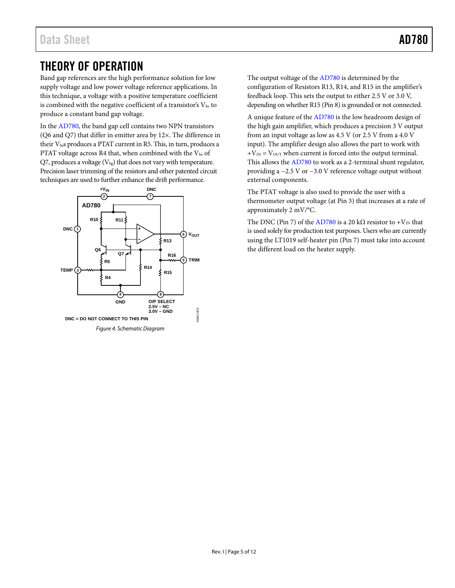## <span id="page-4-0"></span>THEORY OF OPERATION

Band gap references are the high performance solution for low supply voltage and low power voltage reference applications. In this technique, a voltage with a positive temperature coefficient is combined with the negative coefficient of a transistor's  $\mathrm{V_{be}}$  to produce a constant band gap voltage.

In th[e AD780,](http://www.analog.com/ad780?doc=ad780.pdf) the band gap cell contains two NPN transistors (Q6 and Q7) that differ in emitter area by 12×. The difference in their  $V_{\text{be}}$ s produces a PTAT current in R5. This, in turn, produces a PTAT voltage across R4 that, when combined with the  $V_{be}$  of Q7, produces a voltage  $(V_{bg})$  that does not vary with temperature. Precision laser trimming of the resistors and other patented circuit techniques are used to further enhance the drift performance.



The output voltage of th[e AD780](http://www.analog.com/ad780?doc=ad780.pdf) is determined by the configuration of Resistors R13, R14, and R15 in the amplifier's feedback loop. This sets the output to either 2.5 V or 3.0 V, depending on whether R15 (Pin 8) is grounded or not connected.

A unique feature of th[e AD780](http://www.analog.com/ad780?doc=ad780.pdf) is the low headroom design of the high gain amplifier, which produces a precision 3 V output from an input voltage as low as 4.5 V (or 2.5 V from a 4.0 V input). The amplifier design also allows the part to work with  $+V_{IN} = V_{OUT}$  when current is forced into the output terminal. This allows the [AD780](http://www.analog.com/ad780?doc=ad780.pdf) to work as a 2-terminal shunt regulator, providing a −2.5 V or −3.0 V reference voltage output without external components.

The PTAT voltage is also used to provide the user with a thermometer output voltage (at Pin 3) that increases at a rate of approximately 2 mV/°C.

The DNC (Pin 7) of the [AD780](http://www.analog.com/ad780?doc=ad780.pdf) is a 20 kΩ resistor to + $V_{IN}$  that is used solely for production test purposes. Users who are currently using the LT1019 self-heater pin (Pin 7) must take into account the different load on the heater supply.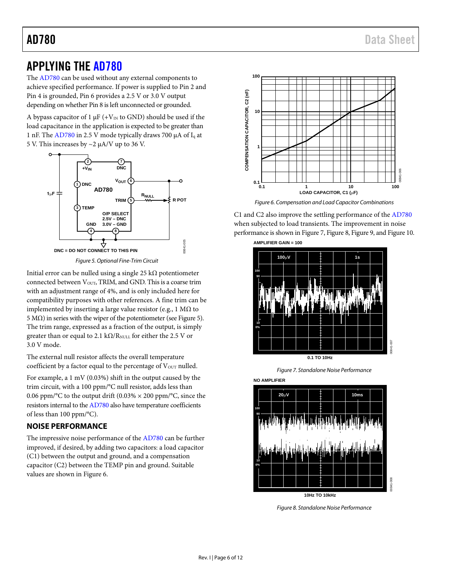## <span id="page-5-0"></span>APPLYING THE [AD780](http://www.analog.com/ad780?doc=ad780.pdf)

The [AD780](http://www.analog.com/ad780?doc=ad780.pdf) can be used without any external components to achieve specified performance. If power is supplied to Pin 2 and Pin 4 is grounded, Pin 6 provides a 2.5 V or 3.0 V output depending on whether Pin 8 is left unconnected or grounded.

A bypass capacitor of 1  $\mu$ F (+V<sub>IN</sub> to GND) should be used if the load capacitance in the application is expected to be greater than 1 nF. Th[e AD780](http://www.analog.com/ad780?doc=ad780.pdf) in 2.5 V mode typically draws 700 µA of Iq at 5 V. This increases by ~2 µA/V up to 36 V.



*Figure 5. Optional Fine-Trim Circuit*

<span id="page-5-2"></span>Initial error can be nulled using a single 25 kΩ potentiometer connected between V<sub>OUT</sub>, TRIM, and GND. This is a coarse trim with an adjustment range of 4%, and is only included here for compatibility purposes with other references. A fine trim can be implemented by inserting a large value resistor (e.g., 1 MΩ to 5 MΩ) in series with the wiper of the potentiometer (se[e Figure](#page-5-2) 5). The trim range, expressed as a fraction of the output, is simply greater than or equal to 2.1 k $\Omega$ /R<sub>NULL</sub> for either the 2.5 V or 3.0 V mode.

The external null resistor affects the overall temperature coefficient by a factor equal to the percentage of  $V<sub>OUT</sub>$  nulled.

For example, a 1 mV (0.03%) shift in the output caused by the trim circuit, with a 100 ppm/°C null resistor, adds less than 0.06 ppm/°C to the output drift (0.03%  $\times$  200 ppm/°C, since the resistors internal to th[e AD780](http://www.analog.com/ad780?doc=ad780.pdf) also have temperature coefficients of less than 100 ppm/°C).

### <span id="page-5-1"></span>**NOISE PERFORMANCE**

The impressive noise performance of th[e AD780](http://www.analog.com/ad780?doc=ad780.pdf) can be further improved, if desired, by adding two capacitors: a load capacitor (C1) between the output and ground, and a compensation capacitor (C2) between the TEMP pin and ground. Suitable values are shown i[n Figure 6.](#page-5-3)



*Figure 6. Compensation and Load Capacitor Combinations*

<span id="page-5-3"></span>C1 and C2 also improve the settling performance of th[e AD780](http://www.analog.com/ad780?doc=ad780.pdf) when subjected to load transients. The improvement in noise performance is shown i[n Figure 7,](#page-5-4) [Figure 8,](#page-5-5) [Figure 9,](#page-6-3) an[d Figure](#page-6-4) 10.



*Figure 7. Standalone Noise Performance*

<span id="page-5-4"></span>

<span id="page-5-5"></span>*Figure 8. Standalone Noise Performance*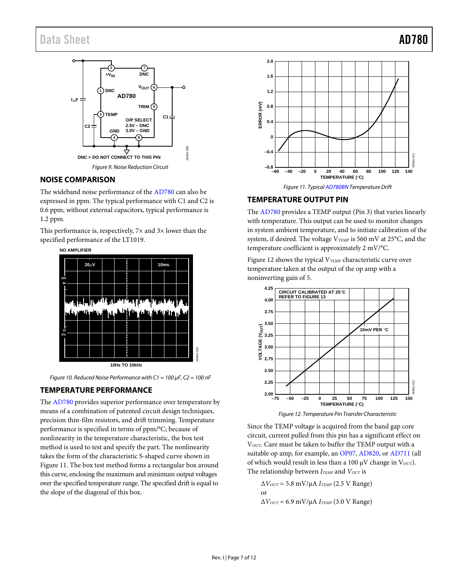### Data Sheet **AD780**



#### <span id="page-6-3"></span><span id="page-6-0"></span>**NOISE COMPARISON**

The wideband noise performance of th[e AD780](http://www.analog.com/ad780?doc=ad780.pdf) can also be expressed in ppm. The typical performance with C1 and C2 is 0.6 ppm; without external capacitors, typical performance is 1.2 ppm.

This performance is, respectively,  $7\times$  and  $3\times$  lower than the specified performance of the LT1019.



<span id="page-6-4"></span>*Figure 10. Reduced Noise Performance with C1 = 100 µF, C2 = 100 nF*

#### <span id="page-6-1"></span>**TEMPERATURE PERFORMANCE**

The [AD780](http://www.analog.com/ad780?doc=ad780.pdf) provides superior performance over temperature by means of a combination of patented circuit design techniques, precision thin-film resistors, and drift trimming. Temperature performance is specified in terms of ppm/°C; because of nonlinearity in the temperature characteristic, the box test method is used to test and specify the part. The nonlinearity takes the form of the characteristic S-shaped curve shown in [Figure 11.](#page-6-5) The box test method forms a rectangular box around this curve, enclosing the maximum and minimum output voltages over the specified temperature range. The specified drift is equal to the slope of the diagonal of this box.



### <span id="page-6-5"></span><span id="page-6-2"></span>**TEMPERATURE OUTPUT PIN**

The [AD780](http://www.analog.com/ad780?doc=ad780.pdf) provides a TEMP output (Pin 3) that varies linearly with temperature. This output can be used to monitor changes in system ambient temperature, and to initiate calibration of the system, if desired. The voltage  $V_{TEMP}$  is 560 mV at 25°C, and the temperature coefficient is approximately 2 mV/°C.

[Figure 12](#page-6-6) shows the typical  $V_{TEMP}$  characteristic curve over temperature taken at the output of the op amp with a noninverting gain of 5.



*Figure 12. Temperature Pin Transfer Characteristic*

<span id="page-6-6"></span>Since the TEMP voltage is acquired from the band gap core circuit, current pulled from this pin has a significant effect on VOUT. Care must be taken to buffer the TEMP output with a suitable op amp, for example, a[n OP07,](http://www.analog.com/OP07?doc=ad780.pdf) [AD820,](http://www.analog.com/AD820?doc=ad780.pdf) or [AD711](http://www.analog.com/AD711?doc=ad780.pdf) (all of which would result in less than a 100  $\mu$ V change in V<sub>OUT</sub>). The relationship between *ITEMP* and *VOUT* is

 $\Delta V_{OUT}$  = 5.8 mV/ $\mu$ A  $I_{TEMP}$  (2.5 V Range) or  $\Delta V_{OUT}$  = 6.9 mV/ $\mu$ A  $I_{TEMP}$  (3.0 V Range)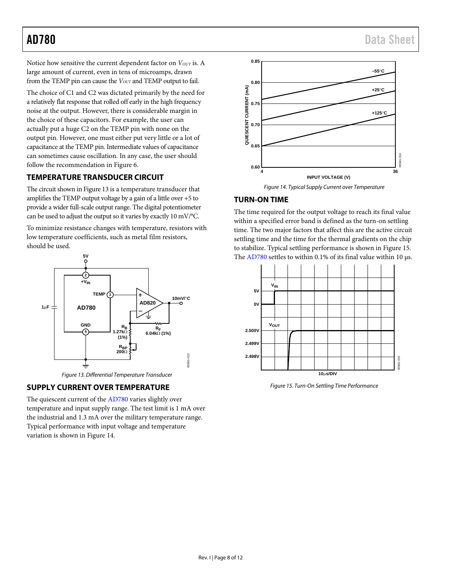Notice how sensitive the current dependent factor on *V<sub>OUT</sub>* is. A large amount of current, even in tens of microamps, drawn from the TEMP pin can cause the *V*<sub>OUT</sub> and TEMP output to fail.

The choice of C1 and C2 was dictated primarily by the need for a relatively flat response that rolled off early in the high frequency noise at the output. However, there is considerable margin in the choice of these capacitors. For example, the user can actually put a huge C2 on the TEMP pin with none on the output pin. However, one must either put very little or a lot of capacitance at the TEMP pin. Intermediate values of capacitance can sometimes cause oscillation. In any case, the user should follow the recommendation i[n Figure 6.](#page-5-3)

### <span id="page-7-0"></span>**TEMPERATURE TRANSDUCER CIRCUIT**

The circuit shown i[n Figure 13](#page-7-3) is a temperature transducer that amplifies the TEMP output voltage by a gain of a little over +5 to provide a wider full-scale output range. The digital potentiometer can be used to adjust the output so it varies by exactly 10 mV/°C.

To minimize resistance changes with temperature, resistors with low temperature coefficients, such as metal film resistors, should be used.



*Figure 13. Differential Temperature Transducer*

#### <span id="page-7-3"></span><span id="page-7-1"></span>**SUPPLY CURRENT OVER TEMPERATURE**

The quiescent current of the [AD780](http://www.analog.com/ad780?doc=ad780.pdf) varies slightly over temperature and input supply range. The test limit is 1 mA over the industrial and 1.3 mA over the military temperature range. Typical performance with input voltage and temperature variation is shown i[n Figure 14.](#page-7-4)



### <span id="page-7-4"></span><span id="page-7-2"></span>**TURN-ON TIME**

The time required for the output voltage to reach its final value within a specified error band is defined as the turn-on settling time. The two major factors that affect this are the active circuit settling time and the time for the thermal gradients on the chip to stabilize. Typical settling performance is shown i[n Figure 15.](#page-7-5)  The  $AD780$  settles to within 0.1% of its final value within 10  $\mu$ s.



<span id="page-7-5"></span>*Figure 15. Turn-On Settling Time Performance*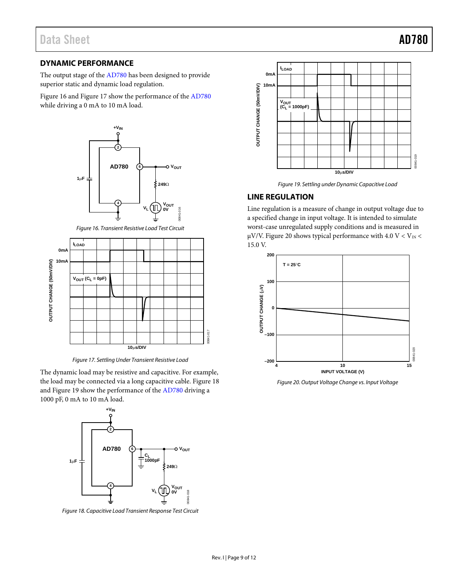#### <span id="page-8-0"></span>**DYNAMIC PERFORMANCE**

The output stage of th[e AD780](http://www.analog.com/ad780?doc=ad780.pdf) has been designed to provide superior static and dynamic load regulation.

[Figure 16](#page-8-2) an[d Figure 17](#page-8-3) show the performance of the [AD780](http://www.analog.com/ad780?doc=ad780.pdf) while driving a 0 mA to 10 mA load.



*Figure 16. Transient Resistive Load Test Circuit*

<span id="page-8-2"></span>

*Figure 17. Settling Under Transient Resistive Load*

<span id="page-8-3"></span>The dynamic load may be resistive and capacitive. For example, the load may be connected via a long capacitive cable[. Figure](#page-8-4) 18 an[d Figure](#page-8-5) 19 show the performance of the [AD780](http://www.analog.com/ad780?doc=ad780.pdf) driving a 1000 pF, 0 mA to 10 mA load.



<span id="page-8-4"></span>*Figure 18. Capacitive Load Transient Response Test Circuit*



*Figure 19. Settling under Dynamic Capacitive Load*

#### <span id="page-8-5"></span><span id="page-8-1"></span>**LINE REGULATION**

Line regulation is a measure of change in output voltage due to a specified change in input voltage. It is intended to simulate worst-case unregulated supply conditions and is measured in  $\mu$ V/V[. Figure 20](#page-8-6) shows typical performance with 4.0 V < V $_{\rm IN}$  < 15.0 V.



<span id="page-8-6"></span>*Figure 20. Output Voltage Change vs. Input Voltage*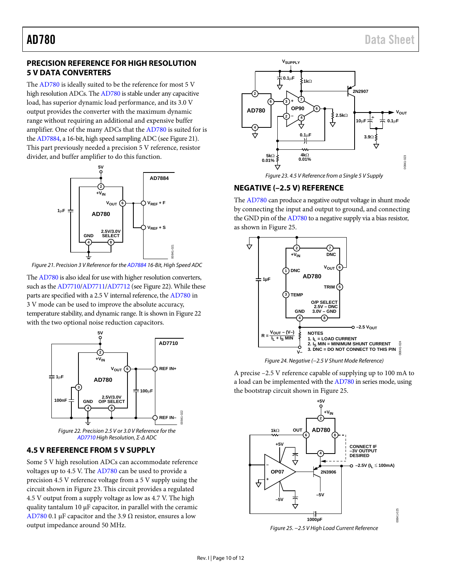#### <span id="page-9-0"></span>**PRECISION REFERENCE FOR HIGH RESOLUTION 5 V DATA CONVERTERS**

The [AD780 i](http://www.analog.com/ad780?doc=ad780.pdf)s ideally suited to be the reference for most 5 V high resolution ADCs. Th[e AD780 i](http://www.analog.com/ad780?doc=ad780.pdf)s stable under any capacitive load, has superior dynamic load performance, and its 3.0 V output provides the converter with the maximum dynamic range without requiring an additional and expensive buffer amplifier. One of the many ADCs that the [AD780](http://www.analog.com/ad780?doc=ad780.pdf) is suited for is th[e AD7884,](http://www.analog.com/ad7884?doc=ad780.pdf) a 16-bit, high speed sampling ADC (se[e Figure 21\)](#page-9-3). This part previously needed a precision 5 V reference, resistor divider, and buffer amplifier to do this function.



<span id="page-9-3"></span>Figure 21. Precision 3 V Reference for th[e AD7884 1](http://www.analog.com/ad7884?doc=ad780.pdf)6-Bit, High Speed ADC

Th[e AD780 i](http://www.analog.com/ad780?doc=ad780.pdf)s also ideal for use with higher resolution converters, such as th[e AD7710/](http://www.analog.com/ad7710?doc=ad780.pdf)[AD7711/](http://www.analog.com/ad7711?doc=ad780.pdf)[AD7712 \(](http://www.analog.com/ad7712?doc=ad780.pdf)se[e Figure 22\)](#page-9-4). While these parts are specified with a 2.5 V internal reference, the [AD780 i](http://www.analog.com/ad780?doc=ad780.pdf)n 3 V mode can be used to improve the absolute accuracy, temperature stability, and dynamic range. It is shown i[n Figure 22](#page-9-4)  with the two optional noise reduction capacitors.



[AD7710 H](http://www.analog.com/ad7710?doc=ad780.pdf)igh Resolution, Σ-Δ ADC

#### <span id="page-9-4"></span><span id="page-9-1"></span>**4.5 V REFERENCE FROM 5 V SUPPLY**

Some 5 V high resolution ADCs can accommodate reference voltages up to 4.5 V. Th[e AD780 c](http://www.analog.com/ad780?doc=ad780.pdf)an be used to provide a precision 4.5 V reference voltage from a 5 V supply using the circuit shown i[n Figure 23.](#page-9-5) This circuit provides a regulated 4.5 V output from a supply voltage as low as 4.7 V. The high quality tantalum 10 μF capacitor, in parallel with the ceramic [AD780](http://www.analog.com/ad780?doc=ad780.pdf) 0.1 μF capacitor and the 3.9  $Ω$  resistor, ensures a low output impedance around 50 MHz.



Figure 23. 4.5 V Reference from a Single 5 V Supply

#### <span id="page-9-5"></span><span id="page-9-2"></span>**NEGATIVE (–2.5 V) REFERENCE**

The [AD780 c](http://www.analog.com/ad780?doc=ad780.pdf)an produce a negative output voltage in shunt mode by connecting the input and output to ground, and connecting the GND pin of th[e AD780](http://www.analog.com/ad780?doc=ad780.pdf) to a negative supply via a bias resistor, as shown i[n Figure 25.](#page-9-6) 





A precise –2.5 V reference capable of supplying up to 100 mA to a load can be implemented with th[e AD780 i](http://www.analog.com/ad780?doc=ad780.pdf)n series mode, using the bootstrap circuit shown i[n Figure 25.](#page-9-6)



<span id="page-9-6"></span>Figure 25. −2.5 V High Load Current Reference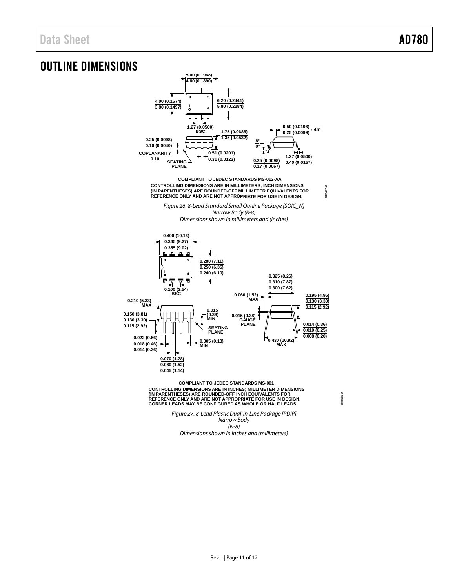## <span id="page-10-0"></span>OUTLINE DIMENSIONS



**COMPLIANT TO JEDEC STANDARDS MS-001** CONTROLLING DIMENSIONS ARE IN INCHES; MILLIMETER DIMENSIONS<br>(IN PARENTHESES) ARE ROUNDED-OFF INCH EQUIVALENTS FOR<br>REFERENCE ONLY AND ARE NOT APPROPRIATE FOR USE IN DESIGN.<br>CORNER LEADS MAY BE CONFIGURED AS WHOLE OR HALF LE

> *Figure 27. 8-Lead Plastic Dual-In-Line Package [PDIP] Narrow Body (N-8) Dimensions shown in inches and (millimeters)*

**070606-A**